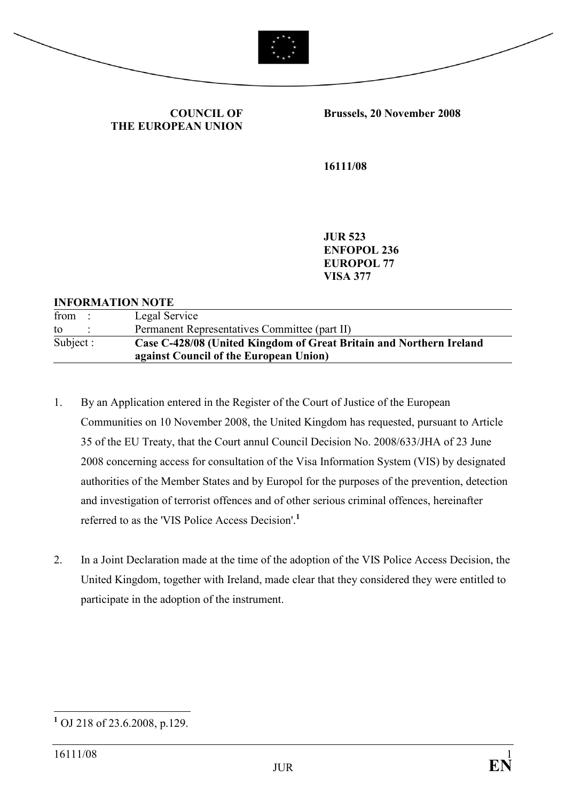



COUNCIL OF THE EUROPEAN UNION Brussels, 20 November 2008

16111/08

JUR 523 ENFOPOL 236 EUROPOL 77 VISA 377

## INFORMATION NOTE

| from      | Legal Service                                                                                                 |
|-----------|---------------------------------------------------------------------------------------------------------------|
| to        | Permanent Representatives Committee (part II)                                                                 |
| Subject : | Case C-428/08 (United Kingdom of Great Britain and Northern Ireland<br>against Council of the European Union) |

- 1. By an Application entered in the Register of the Court of Justice of the European Communities on 10 November 2008, the United Kingdom has requested, pursuant to Article 35 of the EU Treaty, that the Court annul Council Decision No. 2008/633/JHA of 23 June 2008 concerning access for consultation of the Visa Information System (VIS) by designated authorities of the Member States and by Europol for the purposes of the prevention, detection and investigation of terrorist offences and of other serious criminal offences, hereinafter referred to as the 'VIS Police Access Decision'.<sup>1</sup>
- 2. In a Joint Declaration made at the time of the adoption of the VIS Police Access Decision, the United Kingdom, together with Ireland, made clear that they considered they were entitled to participate in the adoption of the instrument.

<sup>&</sup>lt;sup>1</sup> OJ 218 of 23.6.2008, p.129.